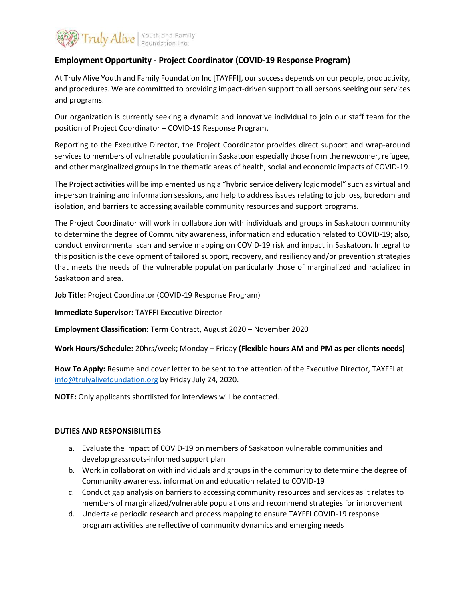

## **Employment Opportunity - Project Coordinator (COVID-19 Response Program)**

At Truly Alive Youth and Family Foundation Inc [TAYFFI], our success depends on our people, productivity, and procedures. We are committed to providing impact-driven support to all persons seeking our services and programs.

Our organization is currently seeking a dynamic and innovative individual to join our staff team for the position of Project Coordinator – COVID-19 Response Program.

Reporting to the Executive Director, the Project Coordinator provides direct support and wrap-around services to members of vulnerable population in Saskatoon especially those from the newcomer, refugee, and other marginalized groups in the thematic areas of health, social and economic impacts of COVID-19.

The Project activities will be implemented using a "hybrid service delivery logic model" such as virtual and in-person training and information sessions, and help to address issues relating to job loss, boredom and isolation, and barriers to accessing available community resources and support programs.

The Project Coordinator will work in collaboration with individuals and groups in Saskatoon community to determine the degree of Community awareness, information and education related to COVID-19; also, conduct environmental scan and service mapping on COVID-19 risk and impact in Saskatoon. Integral to this position is the development of tailored support, recovery, and resiliency and/or prevention strategies that meets the needs of the vulnerable population particularly those of marginalized and racialized in Saskatoon and area.

**Job Title:** Project Coordinator (COVID-19 Response Program)

**Immediate Supervisor:** TAYFFI Executive Director

**Employment Classification:** Term Contract, August 2020 – November 2020

**Work Hours/Schedule:** 20hrs/week; Monday – Friday **(Flexible hours AM and PM as per clients needs)**

**How To Apply:** Resume and cover letter to be sent to the attention of the Executive Director, TAYFFI at [info@trulyalivefoundation.org](mailto:info@trulyalivefoundation.org) by Friday July 24, 2020.

**NOTE:** Only applicants shortlisted for interviews will be contacted.

## **DUTIES AND RESPONSIBILITIES**

- a. Evaluate the impact of COVID-19 on members of Saskatoon vulnerable communities and develop grassroots-informed support plan
- b. Work in collaboration with individuals and groups in the community to determine the degree of Community awareness, information and education related to COVID-19
- c. Conduct gap analysis on barriers to accessing community resources and services as it relates to members of marginalized/vulnerable populations and recommend strategies for improvement
- d. Undertake periodic research and process mapping to ensure TAYFFI COVID-19 response program activities are reflective of community dynamics and emerging needs